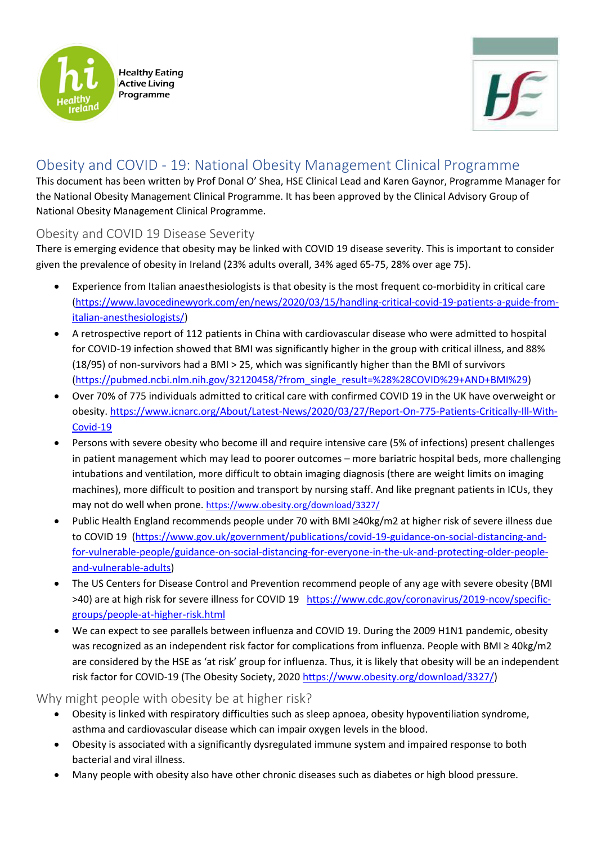



## Obesity and COVID - 19: National Obesity Management Clinical Programme

This document has been written by Prof Donal O' Shea, HSE Clinical Lead and Karen Gaynor, Programme Manager for the National Obesity Management Clinical Programme. It has been approved by the Clinical Advisory Group of National Obesity Management Clinical Programme.

## Obesity and COVID 19 Disease Severity

There is emerging evidence that obesity may be linked with COVID 19 disease severity. This is important to consider given the prevalence of obesity in Ireland (23% adults overall, 34% aged 65-75, 28% over age 75).

- Experience from Italian anaesthesiologists is that obesity is the most frequent co-morbidity in critical care [\(https://www.lavocedinewyork.com/en/news/2020/03/15/handling-critical-covid-19-patients-a-guide-from](https://www.lavocedinewyork.com/en/news/2020/03/15/handling-critical-covid-19-patients-a-guide-from-italian-anesthesiologists/)[italian-anesthesiologists/\)](https://www.lavocedinewyork.com/en/news/2020/03/15/handling-critical-covid-19-patients-a-guide-from-italian-anesthesiologists/)
- A retrospective [report of 112 patients](https://pubmed.ncbi.nlm.nih.gov/32120458/?from_single_result=%28%28COVID%29+AND+BMI%29) in China with cardiovascular disease who were admitted to hospital for COVID-19 infection showed that BMI was significantly higher in the group with critical illness, and 88% (18/95) of non-survivors had a BMI > 25, which was significantly higher than the BMI of survivors [\(https://pubmed.ncbi.nlm.nih.gov/32120458/?from\\_single\\_result=%28%28COVID%29+AND+BMI%29\)](https://pubmed.ncbi.nlm.nih.gov/32120458/?from_single_result=%28%28COVID%29+AND+BMI%29)
- Over 70% of 775 individuals admitted to critical care with confirmed COVID 19 in the UK have overweight or obesity. [https://www.icnarc.org/About/Latest-News/2020/03/27/Report-On-775-Patients-Critically-Ill-With-](https://www.icnarc.org/About/Latest-News/2020/03/27/Report-On-775-Patients-Critically-Ill-With-Covid-19)[Covid-19](https://www.icnarc.org/About/Latest-News/2020/03/27/Report-On-775-Patients-Critically-Ill-With-Covid-19)
- Persons with severe obesity who become ill and require intensive care (5% of infections) present challenges in patient management which may lead to poorer outcomes – more bariatric hospital beds, more challenging intubations and ventilation, more difficult to obtain imaging diagnosis (there are weight limits on imaging machines), more difficult to position and transport by nursing staff. And like pregnant patients in ICUs, they may not do well when prone. <https://www.obesity.org/download/3327/>
- Public Health England recommends people under 70 with BMI ≥40kg/m2 at higher risk of severe illness due to COVID 19 [\(https://www.gov.uk/government/publications/covid-19-guidance-on-social-distancing-and](https://www.gov.uk/government/publications/covid-19-guidance-on-social-distancing-and-for-vulnerable-people/guidance-on-social-distancing-for-everyone-in-the-uk-and-protecting-older-people-and-vulnerable-adults)[for-vulnerable-people/guidance-on-social-distancing-for-everyone-in-the-uk-and-protecting-older-people](https://www.gov.uk/government/publications/covid-19-guidance-on-social-distancing-and-for-vulnerable-people/guidance-on-social-distancing-for-everyone-in-the-uk-and-protecting-older-people-and-vulnerable-adults)[and-vulnerable-adults\)](https://www.gov.uk/government/publications/covid-19-guidance-on-social-distancing-and-for-vulnerable-people/guidance-on-social-distancing-for-everyone-in-the-uk-and-protecting-older-people-and-vulnerable-adults)
- The US Centers for Disease Control and Prevention recommend people of any age with severe obesity (BMI >40) are at high risk for severe illness for COVID 19 [https://www.cdc.gov/coronavirus/2019-ncov/specific](https://www.cdc.gov/coronavirus/2019-ncov/specific-groups/people-at-higher-risk.html)[groups/people-at-higher-risk.html](https://www.cdc.gov/coronavirus/2019-ncov/specific-groups/people-at-higher-risk.html)
- We can expect to see parallels between influenza and COVID 19. During the 2009 H1N1 pandemic, obesity was recognized as an independent risk factor for complications from influenza. People with BMI ≥ 40kg/m2 are considered by the HSE as 'at risk' group for influenza. Thus, it is likely that obesity will be an independent risk factor for COVID-19 (The Obesity Society, 2020 [https://www.obesity.org/download/3327/\)](https://www.obesity.org/download/3327/)

Why might people with obesity be at higher risk?

- Obesity is linked with respiratory difficulties such as sleep apnoea, obesity hypoventiliation syndrome, asthma and cardiovascular disease which can impair oxygen levels in the blood.
- Obesity is associated with a significantly dysregulated immune system and impaired response to both bacterial and viral illness.
- Many people with obesity also have other chronic diseases such as diabetes or high blood pressure.